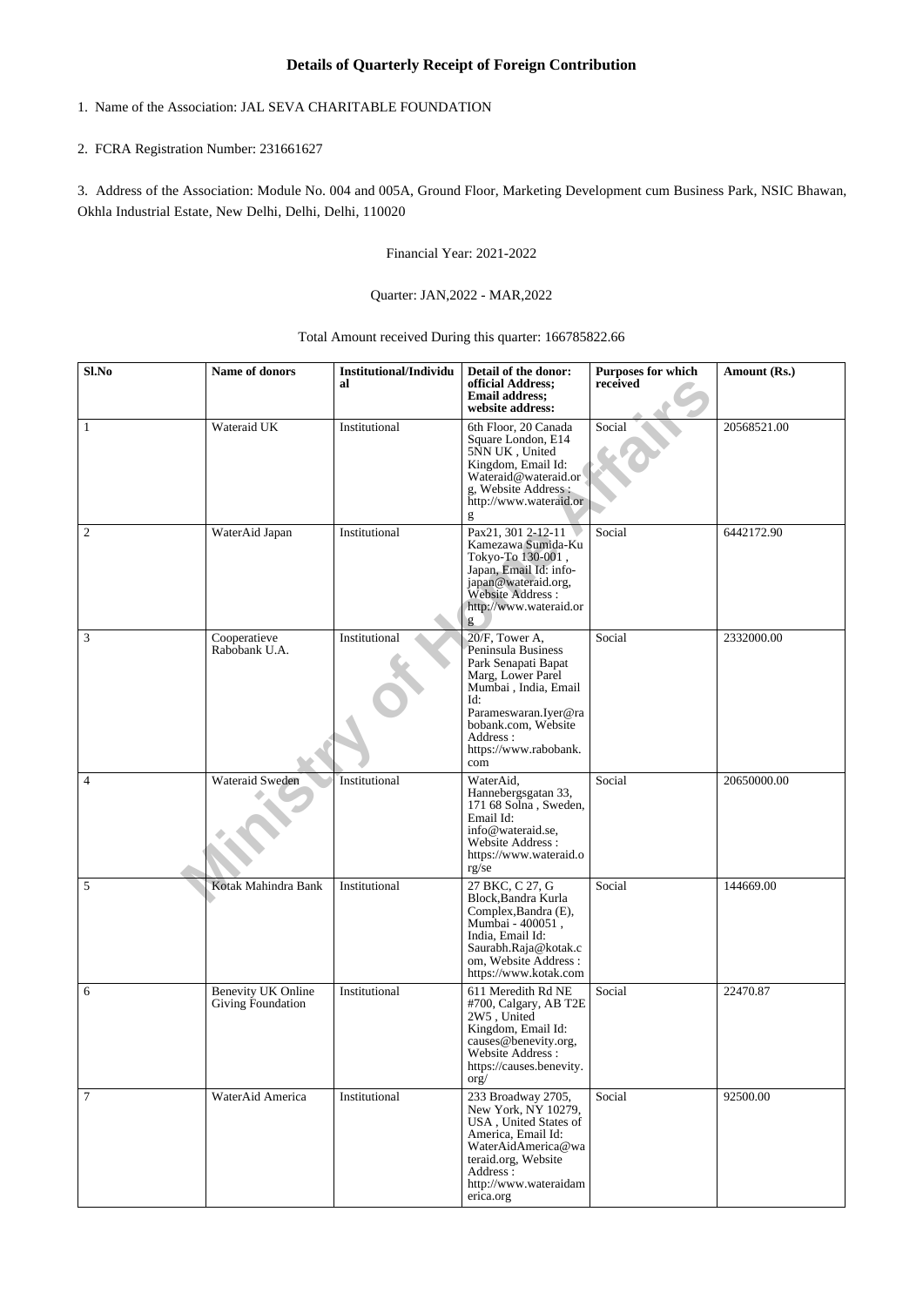## **Details of Quarterly Receipt of Foreign Contribution**

# 1. Name of the Association: JAL SEVA CHARITABLE FOUNDATION

## 2. FCRA Registration Number: 231661627

3. Address of the Association: Module No. 004 and 005A, Ground Floor, Marketing Development cum Business Park, NSIC Bhawan, Okhla Industrial Estate, New Delhi, Delhi, Delhi, 110020

Financial Year: 2021-2022

### Quarter: JAN,2022 - MAR,2022

### Total Amount received During this quarter: 166785822.66

| Sl.No          | Name of donors                                 | <b>Institutional/Individu</b><br>al | Detail of the donor:<br>official Address;<br><b>Email address:</b><br>website address:                                                                                                                     | <b>Purposes for which</b><br>received | Amount (Rs.) |
|----------------|------------------------------------------------|-------------------------------------|------------------------------------------------------------------------------------------------------------------------------------------------------------------------------------------------------------|---------------------------------------|--------------|
| $\mathbf{1}$   | Wateraid UK                                    | Institutional                       | 6th Floor, 20 Canada<br>Square London, E14<br>5NN UK, United<br>Kingdom, Email Id:<br>Wateraid@wateraid.or<br>g, Website Address :<br>http://www.wateraid.or<br>g                                          | Social                                | 20568521.00  |
| 2              | WaterAid Japan                                 | Institutional                       | Pax21, 301 2-12-11<br>Kamezawa Sumida-Ku<br>Tokyo-To 130-001,<br>Japan, Email Id: info-<br>japan@wateraid.org,<br>Website Address:<br>http://www.wateraid.or<br>g                                          | Social                                | 6442172.90   |
| $\mathfrak{Z}$ | Cooperatieve<br>Rabobank U.A.                  | Institutional                       | 20/F, Tower A,<br>Peninsula Business<br>Park Senapati Bapat<br>Marg, Lower Parel<br>Mumbai, India, Email<br>Id:<br>Parameswaran.Iyer@ra<br>bobank.com, Website<br>Address:<br>https://www.rabobank.<br>com | Social                                | 2332000.00   |
| $\overline{4}$ | Wateraid Sweden                                | Institutional                       | WaterAid,<br>Hannebergsgatan 33,<br>171 68 Solna, Sweden,<br>Email Id:<br>info@wateraid.se,<br>Website Address:<br>https://www.wateraid.o<br>$rg\bar{g}$                                                   | Social                                | 20650000.00  |
| 5              | Kotak Mahindra Bank                            | Institutional                       | 27 BKC, C 27, G<br>Block, Bandra Kurla<br>Complex, Bandra (E),<br>Mumbai - 400051,<br>India, Email Id:<br>Saurabh.Raja@kotak.c<br>om, Website Address:<br>https://www.kotak.com                            | Social                                | 144669.00    |
| 6              | <b>Benevity UK Online</b><br>Giving Foundation | Institutional                       | 611 Meredith Rd NE<br>#700, Calgary, AB T2E<br>2W5, United<br>Kingdom, Email Id:<br>causes@benevity.org,<br>Website Address:<br>https://causes.benevity.<br>$\text{org}/$                                  | Social                                | 22470.87     |
| 7              | WaterAid America                               | Institutional                       | 233 Broadway 2705,<br>New York, NY 10279,<br>USA, United States of<br>America, Email Id:<br>WaterAidAmerica@wa<br>teraid.org, Website<br>Address :<br>http://www.wateraidam<br>erica.org                   | Social                                | 92500.00     |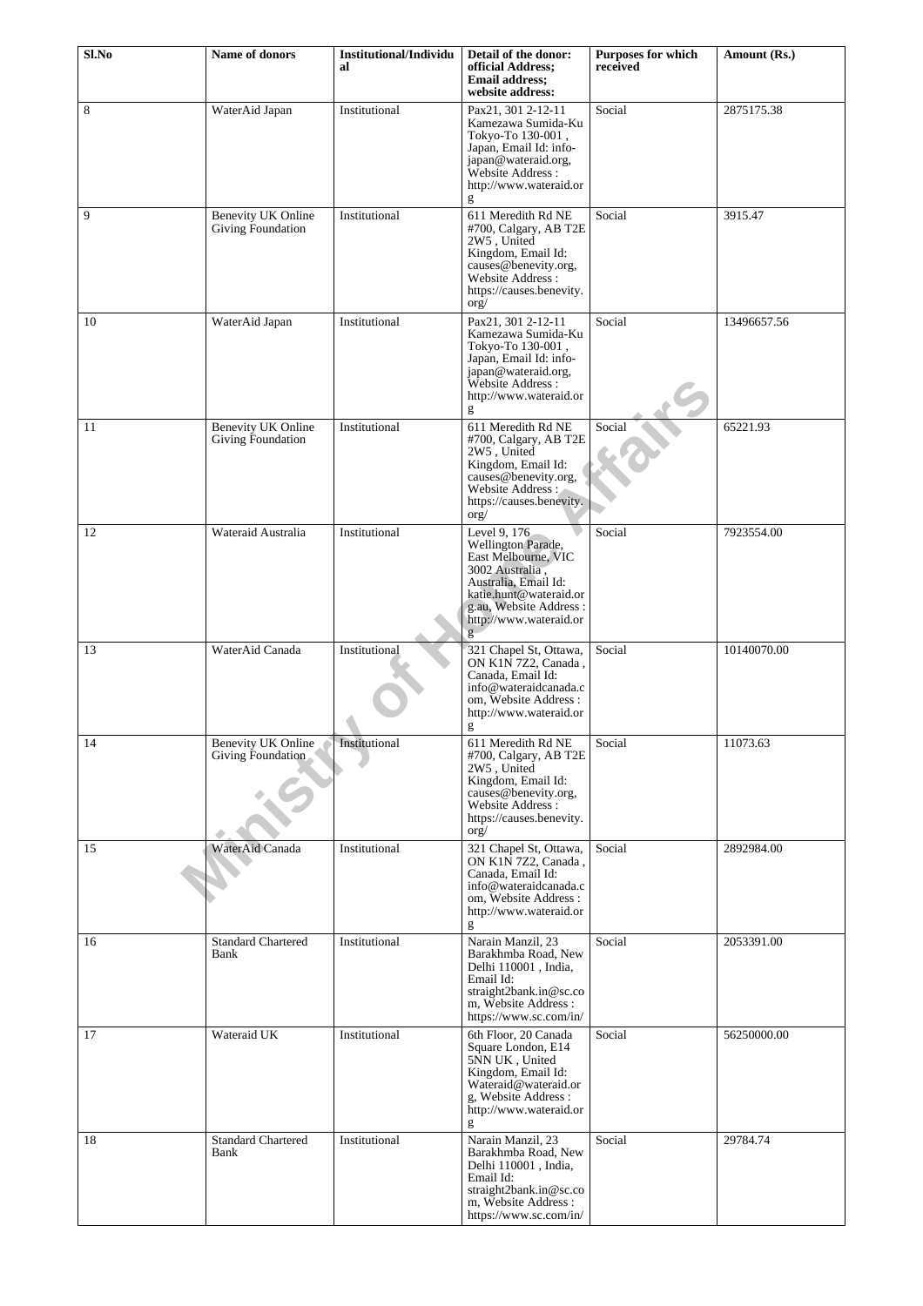| Sl.No | Name of donors                                 | <b>Institutional/Individu</b><br>al | Detail of the donor:<br>official Address;<br><b>Email address:</b><br>website address:                                                                                                  | Purposes for which<br>received | Amount (Rs.) |
|-------|------------------------------------------------|-------------------------------------|-----------------------------------------------------------------------------------------------------------------------------------------------------------------------------------------|--------------------------------|--------------|
| 8     | WaterAid Japan                                 | Institutional                       | Pax21, 301 2-12-11<br>Kamezawa Sumida-Ku<br>Tokyo-To 130-001,<br>Japan, Email Id: info-<br>japan@wateraid.org,<br>Website Address:<br>http://www.wateraid.or<br>g                       | Social                         | 2875175.38   |
| 9     | <b>Benevity UK Online</b><br>Giving Foundation | Institutional                       | 611 Meredith Rd NE<br>#700, Calgary, AB T2E<br>2W5, United<br>Kingdom, Email Id:<br>causes@benevity.org,<br>Website Address :<br>https://causes.benevity.<br>$\text{org}/$              | Social                         | 3915.47      |
| 10    | WaterAid Japan                                 | Institutional                       | Pax21, 301 2-12-11<br>Kamezawa Sumida-Ku<br>Tokyo-To 130-001,<br>Japan, Email Id: info-<br>japan@wateraid.org,<br>Website Address:<br>http://www.wateraid.or<br>g                       | Social                         | 13496657.56  |
| 11    | <b>Benevity UK Online</b><br>Giving Foundation | Institutional                       | 611 Meredith Rd NE<br>#700, Calgary, AB T2E<br>2W5, United<br>Kingdom, Email Id:<br>causes@benevity.org,<br>Website Address:<br>https://causes.benevity.<br>$\overline{\text{org}}$     | Social                         | 65221.93     |
| 12    | Wateraid Australia                             | Institutional                       | Level 9, 176<br>Wellington Parade,<br>East Melbourne, VIC<br>3002 Australia.<br>Australia, Email Id:<br>katie.hunt@wateraid.or<br>g.au, Website Address:<br>http://www.wateraid.or<br>g | Social                         | 7923554.00   |
| 13    | WaterAid Canada                                | Institutional                       | 321 Chapel St, Ottawa,<br>ON K1N 7Z2, Canada,<br>Canada, Email Id:<br>info@wateraidcanada.c<br>om, Website Address:<br>http://www.wateraid.or<br>g                                      | Social                         | 10140070.00  |
| 14    | Benevity UK Online<br>Giving Foundation        | Institutional                       | 611 Meredith Rd NE<br>#700, Calgary, AB T2E<br>2W5, United<br>Kingdom, Email Id:<br>causes@benevity.org,<br>Website Address:<br>https://causes.benevity.<br>$\text{org}/$               | Social                         | 11073.63     |
| 15    | WaterAid Canada                                | Institutional                       | 321 Chapel St, Ottawa,<br>ON K1N 7Z2, Canada,<br>Canada, Email Id:<br>info@wateraidcanada.c<br>om, Website Address:<br>http://www.wateraid.or<br>g                                      | Social                         | 2892984.00   |
| 16    | <b>Standard Chartered</b><br>Bank              | Institutional                       | Narain Manzil, 23<br>Barakhmba Road, New<br>Delhi 110001, India,<br>Email Id:<br>straight2bank.in@sc.co<br>m, Website Address:<br>https://www.sc.com/in/                                | Social                         | 2053391.00   |
| 17    | Wateraid UK                                    | Institutional                       | 6th Floor, 20 Canada<br>Square London, E14<br>5NN UK, United<br>Kingdom, Email Id:<br>Wateraid@wateraid.or<br>g, Website Address:<br>http://www.wateraid.or<br>g                        | Social                         | 56250000.00  |
| 18    | <b>Standard Chartered</b><br>Bank              | Institutional                       | Narain Manzil, 23<br>Barakhmba Road, New<br>Delhi 110001, India,<br>Email Id:<br>straight2bank.in@sc.co<br>m, Website Address:<br>https://www.sc.com/in/                                | Social                         | 29784.74     |